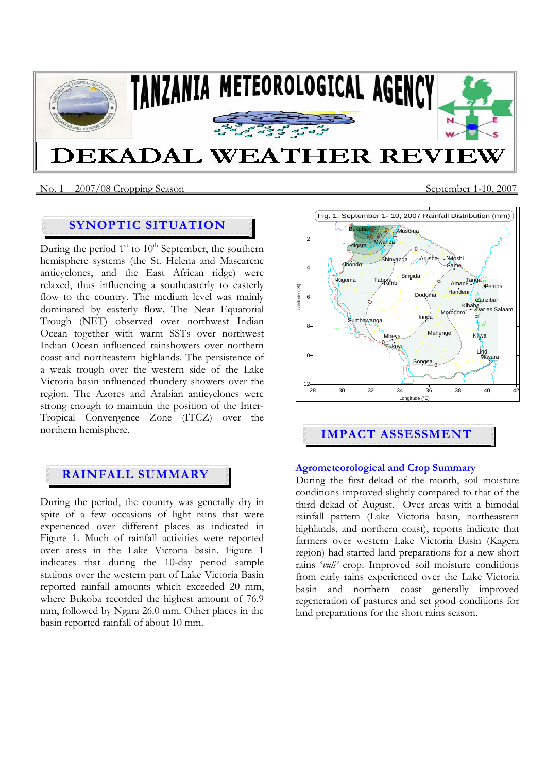

No. 1 2007/08 Cropping SeasonSeptember 1-10, 2007

# **SYNOPTIC SITUATION**

During the period  $1<sup>st</sup>$  to  $10<sup>th</sup>$  September, the southern hemisphere systems (the St. Helena and Mascarene anticyclones, and the East African ridge) were relaxed, thus influencing a southeasterly to easterly flow to the country. The medium level was mainly dominated by easterly flow. The Near Equatorial Trough (NET) observed over northwest Indian Ocean together with warm SSTs over northwest Indian Ocean influenced rainshowers over northern coast and northeastern highlands. The persistence of a weak trough over the western side of the Lake Victoria basin influenced thundery showers over the region. The Azores and Arabian anticyclones were strong enough to maintain the position of the Inter-Tropical Convergence Zone (ITCZ) over the northern hemisphere.

## **RAINFALL SUMMARY**

During the period, the country was generally dry in spite of a few occasions of light rains that were experienced over different places as indicated in Figure 1. Much of rainfall activities were reported over areas in the Lake Victoria basin. Figure 1 indicates that during the 10-day period sample stations over the western part of Lake Victoria Basin reported rainfall amounts which exceeded 20 mm, where Bukoba recorded the highest amount of 76.9 mm, followed by Ngara 26.0 mm. Other places in the basin reported rainfall of about 10 mm.



# **IMPACT ASSESSMENT**

## **Agrometeorological and Crop Summary**

During the first dekad of the month, soil moisture conditions improved slightly compared to that of the third dekad of August. Over areas with a bimodal rainfall pattern (Lake Victoria basin, northeastern highlands, and northern coast), reports indicate that farmers over western Lake Victoria Basin (Kagera region) had started land preparations for a new short rains '*vuli'* crop. Improved soil moisture conditions from early rains experienced over the Lake Victoria basin and northern coast generally improved regeneration of pastures and set good conditions for land preparations for the short rains season.